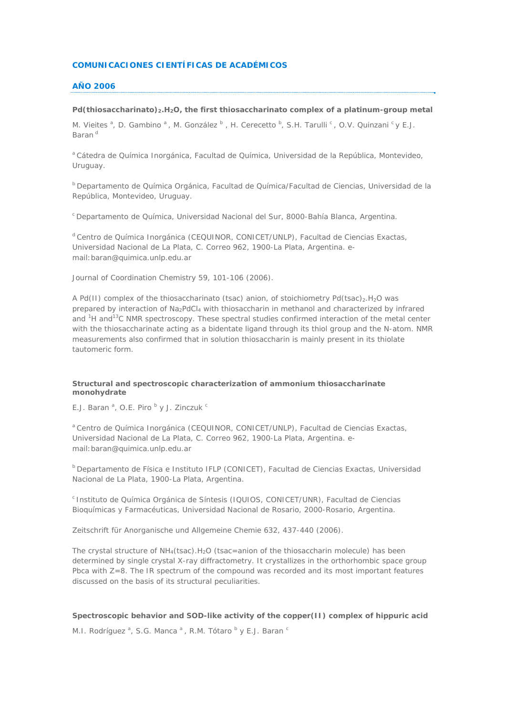## **COMUNICACIONES CIENTÍFICAS DE ACADÉMICOS**

## **AÑO 2006**

## Pd(thiosaccharinato)<sub>2</sub>.H<sub>2</sub>O, the first thiosaccharinato complex of a platinum-group metal

*M. Vieites* <sup>a</sup>, *D. Gambino* <sup>a</sup>, *M. González* <sup>b</sup> , *H. Cerecetto* <sup>b</sup>, *S.H. Tarulli* <sup>c</sup>, *O.V. Quinzani* <sup>c</sup> y *E.J. Baran*<sup>d</sup>

<sup>a</sup> Cátedra de Química Inorgánica, Facultad de Química, Universidad de la República, Montevideo, Uruguay.

b Departamento de Química Orgánica, Facultad de Química/Facultad de Ciencias, Universidad de la República, Montevideo, Uruguay.

c Departamento de Química, Universidad Nacional del Sur, 8000-Bahía Blanca, Argentina.

d Centro de Química Inorgánica (CEQUINOR, CONICET/UNLP), Facultad de Ciencias Exactas, Universidad Nacional de La Plata, C. Correo 962, 1900-La Plata, Argentina. email:baran@quimica.unlp.edu.ar

Journal of Coordination Chemistry 59, 101-106 (2006).

A Pd(II) complex of the thiosaccharinato (tsac) anion, of stoichiometry Pd(tsac)<sub>2</sub>.H<sub>2</sub>O was prepared by interaction of Na2PdCl4 with thiosaccharin in methanol and characterized by infrared and <sup>1</sup>H and<sup>13</sup>C NMR spectroscopy. These spectral studies confirmed interaction of the metal center with the thiosaccharinate acting as a bidentate ligand through its thiol group and the N-atom. NMR measurements also confirmed that in solution thiosaccharin is mainly present in its thiolate tautomeric form.

## **Structural and spectroscopic characterization of ammonium thiosaccharinate monohydrate**

E.J. Baran<sup>a</sup>, O.E. Piro<sup>b</sup>y J. Zinczuk<sup>c</sup>

a Centro de Química Inorgánica (CEQUINOR, CONICET/UNLP), Facultad de Ciencias Exactas, Universidad Nacional de La Plata, C. Correo 962, 1900-La Plata, Argentina. email:baran@quimica.unlp.edu.ar

b Departamento de Física e Instituto IFLP (CONICET), Facultad de Ciencias Exactas, Universidad Nacional de La Plata, 1900-La Plata, Argentina.

c Instituto de Química Orgánica de Síntesis (IQUIOS, CONICET/UNR), Facultad de Ciencias Bioquímicas y Farmacéuticas, Universidad Nacional de Rosario, 2000-Rosario, Argentina.

Zeitschrift für Anorganische und Allgemeine Chemie 632, 437-440 (2006).

The crystal structure of NH4(tsac).H2O (tsac=anion of the thiosaccharin molecule) has been determined by single crystal X-ray diffractometry. It crystallizes in the orthorhombic space group Pbca with Z=8. The IR spectrum of the compound was recorded and its most important features discussed on the basis of its structural peculiarities.

### **Spectroscopic behavior and SOD-like activity of the copper(II) complex of hippuric acid**

*M.I. Rodríguez a* , *S.G. Manca a* , *R.M. Tótaro b* y *E.J. Baran c*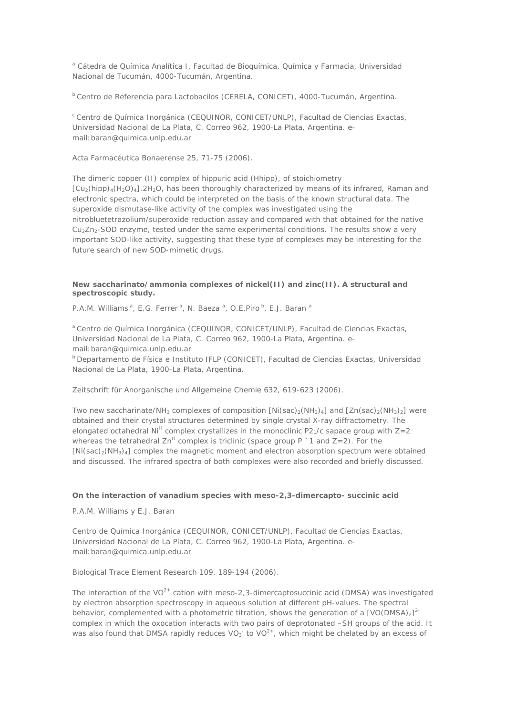<sup>a</sup> Cátedra de Química Analítica I, Facultad de Bioquímica, Química y Farmacia, Universidad Nacional de Tucumán, 4000-Tucumán, Argentina.

b Centro de Referencia para Lactobacilos (CERELA, CONICET), 4000-Tucumán, Argentina.

c Centro de Química Inorgánica (CEQUINOR, CONICET/UNLP), Facultad de Ciencias Exactas, Universidad Nacional de La Plata, C. Correo 962, 1900-La Plata, Argentina. email:baran@quimica.unlp.edu.ar

Acta Farmacéutica Bonaerense 25, 71-75 (2006).

The dimeric copper (II) complex of hippuric acid (Hhipp), of stoichiometry  $[Cu_2(hipp)_4(H_2O)_4]$ .2H<sub>2</sub>O, has been thoroughly characterized by means of its infrared, Raman and electronic spectra, which could be interpreted on the basis of the known structural data. The superoxide dismutase-like activity of the complex was investigated using the nitrobluetetrazolium/superoxide reduction assay and compared with that obtained for the native Cu<sub>2</sub>Zn<sub>2</sub>-SOD enzyme, tested under the same experimental conditions. The results show a very important SOD-like activity, suggesting that these type of complexes may be interesting for the future search of new SOD-mimetic drugs.

## **New saccharinato/ammonia complexes of nickel(II) and zinc(II). A structural and spectroscopic study.**

*P.A.M. Williams<sup>a</sup>*, *E.G. Ferrer<sup>a</sup>*, *N. Baeza <sup>a</sup>* , *O.E.Piro b*, *E.J. Baran a*

<sup>a</sup> Centro de Química Inorgánica (CEQUINOR, CONICET/UNLP), Facultad de Ciencias Exactas, Universidad Nacional de La Plata, C. Correo 962, 1900-La Plata, Argentina. email:baran@quimica.unlp.edu.ar

b Departamento de Física e Instituto IFLP (CONICET), Facultad de Ciencias Exactas, Universidad Nacional de La Plata, 1900-La Plata, Argentina.

Zeitschrift für Anorganische und Allgemeine Chemie 632, 619-623 (2006).

Two new saccharinate/NH<sub>3</sub> complexes of composition  $[Ni(sac)_2(NH_3)_4]$  and  $[Zn(sac)_2(NH_3)_2]$  were obtained and their crystal structures determined by single crystal X-ray diffractometry. The elongated octahedral Ni<sup>II</sup> complex crystallizes in the monoclinic P2<sub>1</sub>/c sapace group with  $Z=2$ whereas the tetrahedral  $\text{Zn}^{\text{II}}$  complex is triclinic (space group P  $\text{I}$  and Z=2). For the  $[Ni(sac)<sub>2</sub>(NH<sub>3</sub>)<sub>4</sub>]$  complex the magnetic moment and electron absorption spectrum were obtained and discussed. The infrared spectra of both complexes were also recorded and briefly discussed.

### **On the interaction of vanadium species with** *meso***-2,3-dimercapto- succinic acid**

*P.A.M. Williams* y *E.J. Baran*

Centro de Química Inorgánica (CEQUINOR, CONICET/UNLP), Facultad de Ciencias Exactas, Universidad Nacional de La Plata, C. Correo 962, 1900-La Plata, Argentina. email:baran@quimica.unlp.edu.ar

Biological Trace Element Research 109, 189-194 (2006).

The interaction of the VO2+ cation with *meso*-2,3-dimercaptosuccinic acid (DMSA) was investigated by electron absorption spectroscopy in aqueous solution at different pH-values. The spectral behavior, complemented with a photometric titration, shows the generation of a  $[VO(DMSA)_2]^2$ complex in which the oxocation interacts with two pairs of deprotonated –SH groups of the acid. It was also found that DMSA rapidly reduces  $VO_3^-$  to  $VO^{2+}$ , which might be chelated by an excess of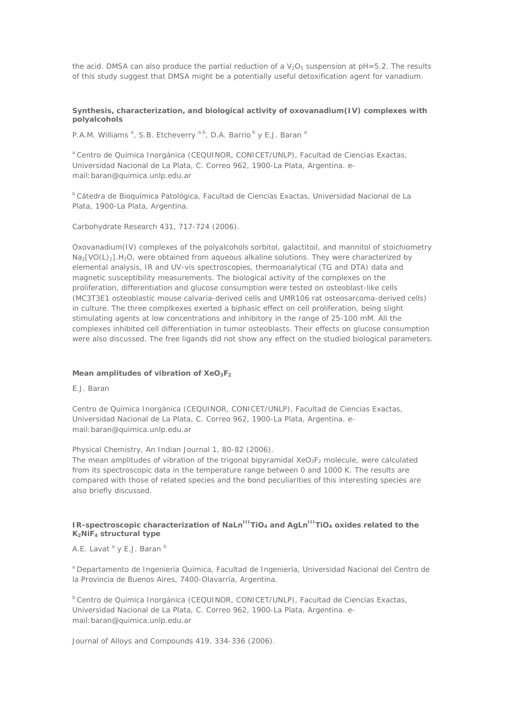the acid. DMSA can also produce the partial reduction of a  $V_2O_5$  suspension at pH=5.2. The results of this study suggest that DMSA might be a potentially useful detoxification agent for vanadium.

# **Synthesis, characterization, and biological activity of oxovanadium(IV) complexes with polyalcohols**

*P.A.M. Williams <sup>a</sup>* , *S.B. Etcheverry a,b*, *D.A. Barrio b* y *E.J. Baran <sup>a</sup>*

*<sup>a</sup>* Centro de Química Inorgánica (CEQUINOR, CONICET/UNLP), Facultad de Ciencias Exactas, Universidad Nacional de La Plata, C. Correo 962, 1900-La Plata, Argentina. email:baran@quimica.unlp.edu.ar

*<sup>b</sup>* Cátedra de Bioquímica Patológica, Facultad de Ciencias Exactas, Universidad Nacional de La Plata, 1900-La Plata, Argentina.

Carbohydrate Research 431, 717-724 (2006).

Oxovanadium(IV) complexes of the polyalcohols sorbitol, galactitoil, and mannitol of stoichiometry  $Na<sub>2</sub>[VO(L)<sub>2</sub>].H<sub>2</sub>O$ , were obtained from aqueous alkaline solutions. They were characterized by elemental analysis, IR and UV-vis spectroscopies, thermoanalytical (TG and DTA) data and magnetic susceptibility measurements. The biological activity of the complexes on the proliferation, differentiation and glucose consumption were tested on osteoblast-like cells (MC3T3E1 osteoblastic mouse calvaria-derived cells and UMR106 rat osteosarcoma-derived cells) in culture. The three complkexes exerted a biphasic effect on cell proliferation, being slight stimulating agents at low concentrations and inhibitory in the range of 25-100 mM. All the complexes inhibited cell differentiation in tumor osteoblasts. Their effects on glucose consumption were also discussed. The free ligands did not show any effect on the studied biological parameters.

#### **Mean amplitudes of vibration of XeO3F2**

### *E.J. Baran*

Centro de Química Inorgánica (CEQUINOR, CONICET/UNLP), Facultad de Ciencias Exactas, Universidad Nacional de La Plata, C. Correo 962, 1900-La Plata, Argentina. email:baran@quimica.unlp.edu.ar

Physical Chemistry, An Indian Journal 1, 80-82 (2006).

The mean amplitudes of vibration of the trigonal bipyramidal  $XeO_3F_2$  molecule, were calculated from its spectroscopic data in the temperature range between 0 and 1000 K. The results are compared with those of related species and the bond peculiarities of this interesting species are also briefly discussed.

## **IR-spectroscopic characterization of NaLn<sup>III</sup>TiO<sub>4</sub> and AgLn<sup>III</sup>TiO<sub>4</sub> oxides related to the K2NiF4 structural type**

### *A.E. Lavat a* y *E.J. Baran b*

*<sup>a</sup>* Departamento de Ingeniería Química, Facultad de Ingeniería, Universidad Nacional del Centro de la Provincia de Buenos Aires, 7400-Olavarría, Argentina.

*<sup>b</sup>* Centro de Química Inorgánica (CEQUINOR, CONICET/UNLP), Facultad de Ciencias Exactas, Universidad Nacional de La Plata, C. Correo 962, 1900-La Plata, Argentina. email:baran@quimica.unlp.edu.ar

Journal of Alloys and Compounds 419, 334-336 (2006).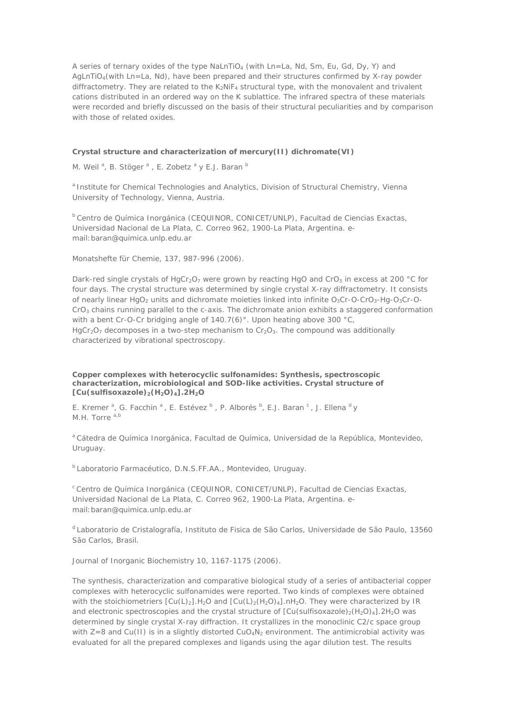A series of ternary oxides of the type NaLnTiO<sub>4</sub> (with Ln=La, Nd, Sm, Eu, Gd, Dy, Y) and  $AqLnTiO<sub>4</sub>(with Ln=La, Nd)$ , have been prepared and their structures confirmed by X-ray powder diffractometry. They are related to the K<sub>2</sub>NiF<sub>4</sub> structural type, with the monovalent and trivalent cations distributed in an ordered way on the K sublattice. The infrared spectra of these materials were recorded and briefly discussed on the basis of their structural peculiarities and by comparison with those of related oxides.

### **Crystal structure and characterization of mercury(II) dichromate(VI)**

*M. Weil<sup>a</sup>, B. Stöger*<sup>a</sup>, E. *Zobetz*<sup>a</sup> y *E.J. Baran*<sup>*b*</sup>

*<sup>a</sup>* Institute for Chemical Technologies and Analytics, Division of Structural Chemistry, Vienna University of Technology, Vienna, Austria.

*<sup>b</sup>* Centro de Química Inorgánica (CEQUINOR, CONICET/UNLP), Facultad de Ciencias Exactas, Universidad Nacional de La Plata, C. Correo 962, 1900-La Plata, Argentina. email:baran@quimica.unlp.edu.ar

Monatshefte für Chemie, 137, 987-996 (2006).

Dark-red single crystals of HgCr<sub>2</sub>O<sub>7</sub> were grown by reacting HgO and CrO<sub>3</sub> in excess at 200 °C for four days. The crystal structure was determined by single crystal X-ray diffractometry. It consists of nearly linear HgO<sub>2</sub> units and dichromate moieties linked into infinite  $O_3Cr$ -O-CrO<sub>3</sub>-Hg-O<sub>3</sub>Cr-O-CrO3 chains running parallel to the *c*-axis. The dichromate anion exhibits a staggered conformation with a bent Cr-O-Cr bridging angle of 140.7(6)°. Upon heating above 300 °C, HgCr<sub>2</sub>O<sub>7</sub> decomposes in a two-step mechanism to Cr<sub>2</sub>O<sub>3</sub>. The compound was additionally characterized by vibrational spectroscopy.

**Copper complexes with heterocyclic sulfonamides: Synthesis, spectroscopic characterization, microbiological and SOD-like activities. Crystal structure of [Cu(sulfisoxazole)2(H2O)4].2H2O**

*E. Kremer a* , G. *Facchin a* , *E. Estévez b* , *P. Alborés b* , *E.J. Baran <sup>c</sup>* , *J. Ellena d* y *M.H. Torre a,b*

*<sup>a</sup>* Cátedra de Química Inorgánica, Facultad de Química, Universidad de la República, Montevideo, Uruguay.

*<sup>b</sup>* Laboratorio Farmacéutico, D.N.S.FF.AA., Montevideo, Uruguay.

*<sup>c</sup>* Centro de Química Inorgánica (CEQUINOR, CONICET/UNLP), Facultad de Ciencias Exactas, Universidad Nacional de La Plata, C. Correo 962, 1900-La Plata, Argentina. email:baran@quimica.unlp.edu.ar

*<sup>d</sup>* Laboratorio de Cristalografía, Instituto de Fisica de São Carlos, Universidade de São Paulo, 13560 São Carlos, Brasil.

Journal of Inorganic Biochemistry 10, 1167-1175 (2006).

The synthesis, characterization and comparative biological study of a series of antibacterial copper complexes with heterocyclic sulfonamides were reported. Two kinds of complexes were obtained with the stoichiometriers  $\lceil Cu(L)_2 \rceil$ . H<sub>2</sub>O and  $\lceil Cu(L)_2(H_2O)_4 \rceil$ . They were characterized by IR and electronic spectroscopies and the crystal structure of  $[Cu(SulfiSoxazole)<sub>1</sub>(H<sub>2</sub>O)<sub>4</sub>].2H<sub>2</sub>O$  was determined by single crystal X-ray diffraction. It crystallizes in the monoclinic C2/c space group with  $Z=8$  and Cu(II) is in a slightly distorted CuO<sub>4</sub>N<sub>2</sub> environment. The antimicrobial activity was evaluated for all the prepared complexes and ligands using the agar dilution test. The results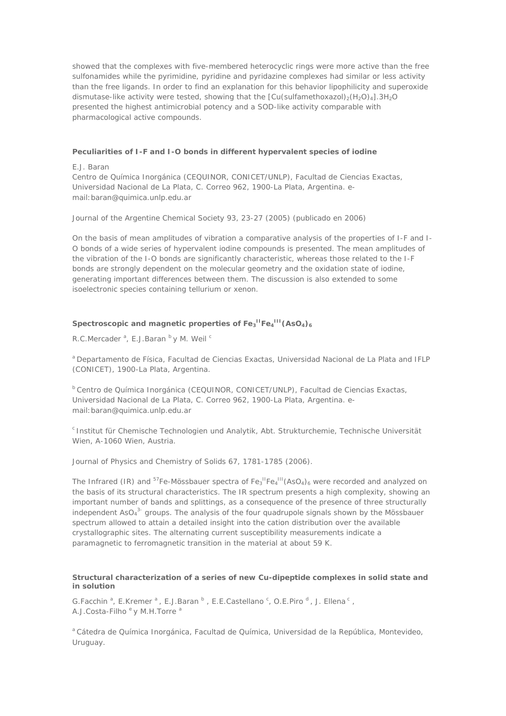showed that the complexes with five-membered heterocyclic rings were more active than the free sulfonamides while the pyrimidine, pyridine and pyridazine complexes had similar or less activity than the free ligands. In order to find an explanation for this behavior lipophilicity and superoxide dismutase-like activity were tested, showing that the  $\left[Cu(sulfamethoxazol)<sub>2</sub>(H<sub>2</sub>O)<sub>4</sub>\right]$ .3H<sub>2</sub>O presented the highest antimicrobial potency and a SOD-like activity comparable with pharmacological active compounds.

## **Peculiarities of I-F and I-O bonds in different hypervalent species of iodine**

### *E.J. Baran*

Centro de Química Inorgánica (CEQUINOR, CONICET/UNLP), Facultad de Ciencias Exactas, Universidad Nacional de La Plata, C. Correo 962, 1900-La Plata, Argentina. email:baran@quimica.unlp.edu.ar

Journal of the Argentine Chemical Society 93, 23-27 (2005) (publicado en 2006)

On the basis of mean amplitudes of vibration a comparative analysis of the properties of I-F and I-O bonds of a wide series of hypervalent iodine compounds is presented. The mean amplitudes of the vibration of the I-O bonds are significantly characteristic, whereas those related to the I-F bonds are strongly dependent on the molecular geometry and the oxidation state of iodine, generating important differences between them. The discussion is also extended to some isoelectronic species containing tellurium or xenon.

## Spectroscopic and magnetic properties of Fe<sub>3</sub><sup>II</sup>Fe<sub>4</sub><sup>III</sup> (AsO<sub>4</sub>)<sub>6</sub>

*R.C.Mercader a* , *E.J.Baran b* y *M. Weil c*

*<sup>a</sup>* Departamento de Física, Facultad de Ciencias Exactas, Universidad Nacional de La Plata and IFLP (CONICET), 1900-La Plata, Argentina.

*<sup>b</sup>* Centro de Química Inorgánica (CEQUINOR, CONICET/UNLP), Facultad de Ciencias Exactas, Universidad Nacional de La Plata, C. Correo 962, 1900-La Plata, Argentina. email:baran@quimica.unlp.edu.ar

*<sup>c</sup>* Institut für Chemische Technologien und Analytik, Abt. Strukturchemie, Technische Universität Wien, A-1060 Wien, Austria.

Journal of Physics and Chemistry of Solids 67, 1781-1785 (2006).

The Infrared (IR) and <sup>57</sup>Fe-Mössbauer spectra of  $Fe_3$ <sup> $n_{Fe_4}$ III</sup>(AsO<sub>4</sub>)<sub>6</sub> were recorded and analyzed on the basis of its structural characteristics. The IR spectrum presents a high complexity, showing an important number of bands and splittings, as a consequence of the presence of three structurally independent  $AsO<sub>4</sub><sup>3</sup>$  groups. The analysis of the four quadrupole signals shown by the Mössbauer spectrum allowed to attain a detailed insight into the cation distribution over the available crystallographic sites. The alternating current susceptibility measurements indicate a paramagnetic to ferromagnetic transition in the material at about 59 K.

### **Structural characterization of a series of new Cu-dipeptide complexes in solid state and in solution**

*G.Facchin a* , *E.Kremer <sup>a</sup>* , *E.J.Baran b* , *E.E.Castellano <sup>c</sup>* , *O.E.Piro <sup>d</sup>* , *J. Ellena c* , *A.J.Costa-Filho e* y *M.H.Torre a*

*<sup>a</sup>* Cátedra de Química Inorgánica, Facultad de Química, Universidad de la República, Montevideo, Uruguay.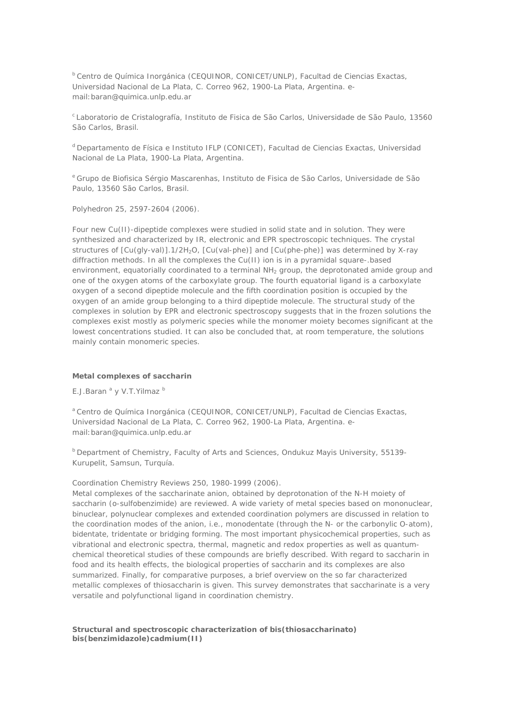*b C*entro de Química Inorgánica (CEQUINOR, CONICET/UNLP), Facultad de Ciencias Exactas, Universidad Nacional de La Plata, C. Correo 962, 1900-La Plata, Argentina. email:baran@quimica.unlp.edu.ar

*<sup>c</sup>*Laboratorio de Cristalografía, Instituto de Fisica de São Carlos, Universidade de São Paulo, 13560 São Carlos, Brasil.

*<sup>d</sup>* Departamento de Física e Instituto IFLP (CONICET), Facultad de Ciencias Exactas, Universidad Nacional de La Plata, 1900-La Plata, Argentina.

*<sup>e</sup>* Grupo de Biofisica Sérgio Mascarenhas, Instituto de Fisica de São Carlos, Universidade de São Paulo, 13560 São Carlos, Brasil.

Polyhedron 25, 2597-2604 (2006).

Four new Cu(II)-dipeptide complexes were studied in solid state and in solution. They were synthesized and characterized by IR, electronic and EPR spectroscopic techniques. The crystal structures of  $[Cu(qly-val)]$ .1/2H<sub>2</sub>O,  $[Cu(val-\rho h e)]$  and  $[Cu(ph e-\rho h e)]$  was determined by X-ray diffraction methods. In all the complexes the Cu(II) ion is in a pyramidal square-.based environment, equatorially coordinated to a terminal NH<sub>2</sub> group, the deprotonated amide group and one of the oxygen atoms of the carboxylate group. The fourth equatorial ligand is a carboxylate oxygen of a second dipeptide molecule and the fifth coordination position is occupied by the oxygen of an amide group belonging to a third dipeptide molecule. The structural study of the complexes in solution by EPR and electronic spectroscopy suggests that in the frozen solutions the complexes exist mostly as polymeric species while the monomer moiety becomes significant at the lowest concentrations studied. It can also be concluded that, at room temperature, the solutions mainly contain monomeric species.

## **Metal complexes of saccharin**

*E.J.Baran a* y *V.T.Yilmaz <sup>b</sup>*

*<sup>a</sup>* Centro de Química Inorgánica (CEQUINOR, CONICET/UNLP), Facultad de Ciencias Exactas, Universidad Nacional de La Plata, C. Correo 962, 1900-La Plata, Argentina. email:baran@quimica.unlp.edu.ar

*<sup>b</sup>* Department of Chemistry, Faculty of Arts and Sciences, Ondukuz Mayis University, 55139- Kurupelit, Samsun, Turquía.

### Coordination Chemistry Reviews 250, 1980-1999 (2006).

Metal complexes of the saccharinate anion, obtained by deprotonation of the N-H moiety of saccharin (o-sulfobenzimide) are reviewed. A wide variety of metal species based on mononuclear, binuclear, polynuclear complexes and extended coordination polymers are discussed in relation to the coordination modes of the anion, i.e., monodentate (through the N- or the carbonylic O-atom), bidentate, tridentate or bridging forming. The most important physicochemical properties, such as vibrational and electronic spectra, thermal, magnetic and redox properties as well as quantumchemical theoretical studies of these compounds are briefly described. With regard to saccharin in food and its health effects, the biological properties of saccharin and its complexes are also summarized. Finally, for comparative purposes, a brief overview on the so far characterized metallic complexes of thiosaccharin is given. This survey demonstrates that saccharinate is a very versatile and polyfunctional ligand in coordination chemistry.

## **Structural and spectroscopic characterization of bis(thiosaccharinato) bis(benzimidazole)cadmium(II)**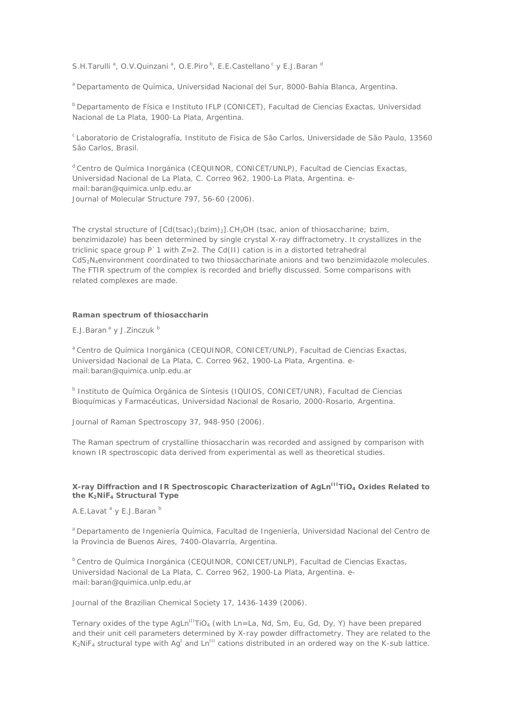*S.H.Tarulli<sup>a</sup>*, *O.V.Quinzani<sup>a</sup>*, *O.E.Piro*<sup>b</sup>, *E.E.Castellano<sup>c</sup>y <i>E.J.Baran*<sup>c</sup>

*<sup>a</sup>* Departamento de Química, Universidad Nacional del Sur, 8000-Bahía Blanca, Argentina.

*<sup>b</sup>* Departamento de Física e Instituto IFLP (CONICET), Facultad de Ciencias Exactas, Universidad Nacional de La Plata, 1900-La Plata, Argentina.

*<sup>c</sup>*Laboratorio de Cristalografía, Instituto de Fisica de São Carlos, Universidade de São Paulo, 13560 São Carlos, Brasil.

*<sup>d</sup>* Centro de Química Inorgánica (CEQUINOR, CONICET/UNLP), Facultad de Ciencias Exactas, Universidad Nacional de La Plata, C. Correo 962, 1900-La Plata, Argentina. email:baran@quimica.unlp.edu.ar Journal of Molecular Structure 797, 56-60 (2006).

The crystal structure of  $[Cd(tsac), (bzim)]$ .CH<sub>3</sub>OH (tsac, anion of thiosaccharine; bzim, benzimidazole) has been determined by single crystal X-ray diffractometry. It crystallizes in the triclinic space group  $P \cap 1$  with  $Z=2$ . The Cd(II) cation is in a distorted tetrahedral CdS<sub>2</sub>N<sub>4</sub>environment coordinated to two thiosaccharinate anions and two benzimidazole molecules. The FTIR spectrum of the complex is recorded and briefly discussed. Some comparisons with related complexes are made.

#### **Raman spectrum of thiosaccharin**

*E.J.Baran a* y *J.Zinczuk <sup>b</sup>*

*<sup>a</sup>* Centro de Química Inorgánica (CEQUINOR, CONICET/UNLP), Facultad de Ciencias Exactas, Universidad Nacional de La Plata, C. Correo 962, 1900-La Plata, Argentina. email:baran@quimica.unlp.edu.ar

*b* Instituto de Química Orgánica de Síntesis (IQUIOS, CONICET/UNR), Facultad de Ciencias Bioquímicas y Farmacéuticas, Universidad Nacional de Rosario, 2000-Rosario, Argentina.

Journal of Raman Spectroscopy 37, 948-950 (2006).

The Raman spectrum of crystalline thiosaccharin was recorded and assigned by comparison with known IR spectroscopic data derived from experimental as well as theoretical studies.

## **X-ray Diffraction and IR Spectroscopic Characterization of AgLnIIITiO4 Oxides Related to the K2NiF4 Structural Type**

*A.E.Lavat a* y *E.J.Baran b*

*<sup>a</sup>* Departamento de Ingeniería Química, Facultad de Ingeniería, Universidad Nacional del Centro de la Provincia de Buenos Aires, 7400-Olavarría, Argentina.

*<sup>b</sup>* Centro de Química Inorgánica (CEQUINOR, CONICET/UNLP), Facultad de Ciencias Exactas, Universidad Nacional de La Plata, C. Correo 962, 1900-La Plata, Argentina. email:baran@quimica.unlp.edu.ar

Journal of the Brazilian Chemical Society 17, 1436-1439 (2006).

Ternary oxides of the type AgLn<sup>III</sup>TiO<sub>4</sub> (with Ln=La, Nd, Sm, Eu, Gd, Dy, Y) have been prepared and their unit cell parameters determined by X-ray powder diffractometry. They are related to the  $K_2$ NiF<sub>4</sub> structural type with Ag<sup>1</sup> and Ln<sup>III</sup> cations distributed in an ordered way on the K-sub lattice.